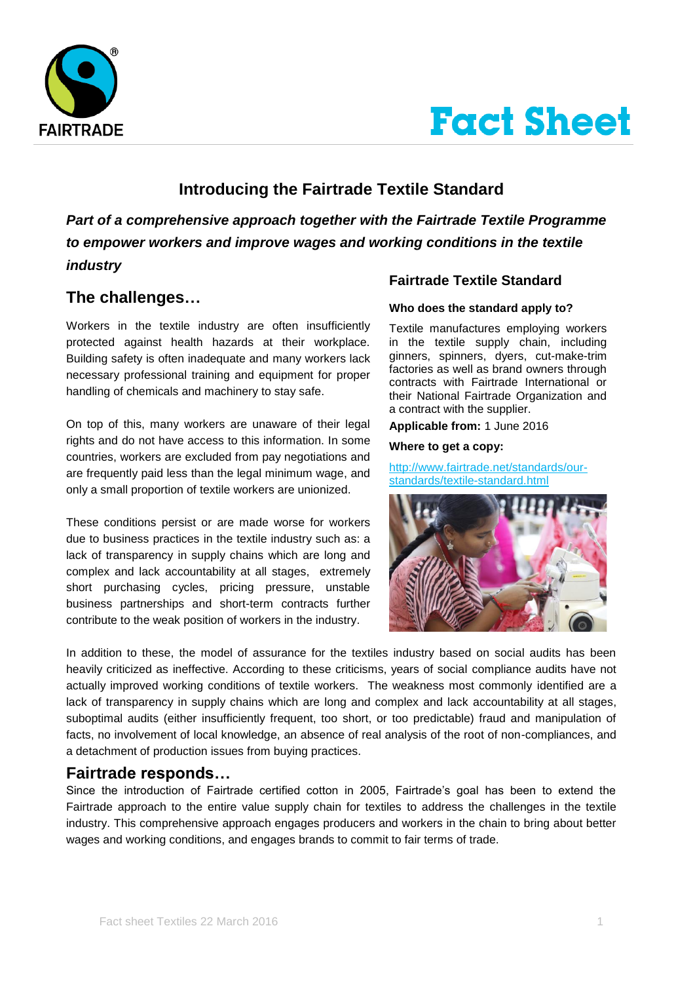



# **Introducing the Fairtrade Textile Standard**

*Part of a comprehensive approach together with the Fairtrade Textile Programme to empower workers and improve wages and working conditions in the textile industry* 

# **The challenges…**

Workers in the textile industry are often insufficiently protected against health hazards at their workplace. Building safety is often inadequate and many workers lack necessary professional training and equipment for proper handling of chemicals and machinery to stay safe.

On top of this, many workers are unaware of their legal rights and do not have access to this information. In some countries, workers are excluded from pay negotiations and are frequently paid less than the legal minimum wage, and only a small proportion of textile workers are unionized.

These conditions persist or are made worse for workers due to business practices in the textile industry such as: a lack of transparency in supply chains which are long and complex and lack accountability at all stages, extremely short purchasing cycles, pricing pressure, unstable business partnerships and short-term contracts further contribute to the weak position of workers in the industry.

## **Fairtrade Textile Standard**

### **Who does the standard apply to?**

Textile manufactures employing workers in the textile supply chain, including ginners, spinners, dyers, cut-make-trim factories as well as brand owners through contracts with Fairtrade International or their National Fairtrade Organization and a contract with the supplier.

**Applicable from:** 1 June 2016

#### **Where to get a copy:**

[http://www.fairtrade.net/standards/our](http://www.fairtrade.net/standards/our-standards/textile-standard.html)[standards/textile-standard.html](http://www.fairtrade.net/standards/our-standards/textile-standard.html)



In addition to these, the model of assurance for the textiles industry based on social audits has been heavily criticized as ineffective. According to these criticisms, years of social compliance audits have not actually improved working conditions of textile workers. The weakness most commonly identified are a lack of transparency in supply chains which are long and complex and lack accountability at all stages, suboptimal audits (either insufficiently frequent, too short, or too predictable) fraud and manipulation of facts, no involvement of local knowledge, an absence of real analysis of the root of non-compliances, and a detachment of production issues from buying practices.

# **Fairtrade responds…**

Since the introduction of Fairtrade certified cotton in 2005, Fairtrade's goal has been to extend the Fairtrade approach to the entire value supply chain for textiles to address the challenges in the textile industry. This comprehensive approach engages producers and workers in the chain to bring about better wages and working conditions, and engages brands to commit to fair terms of trade.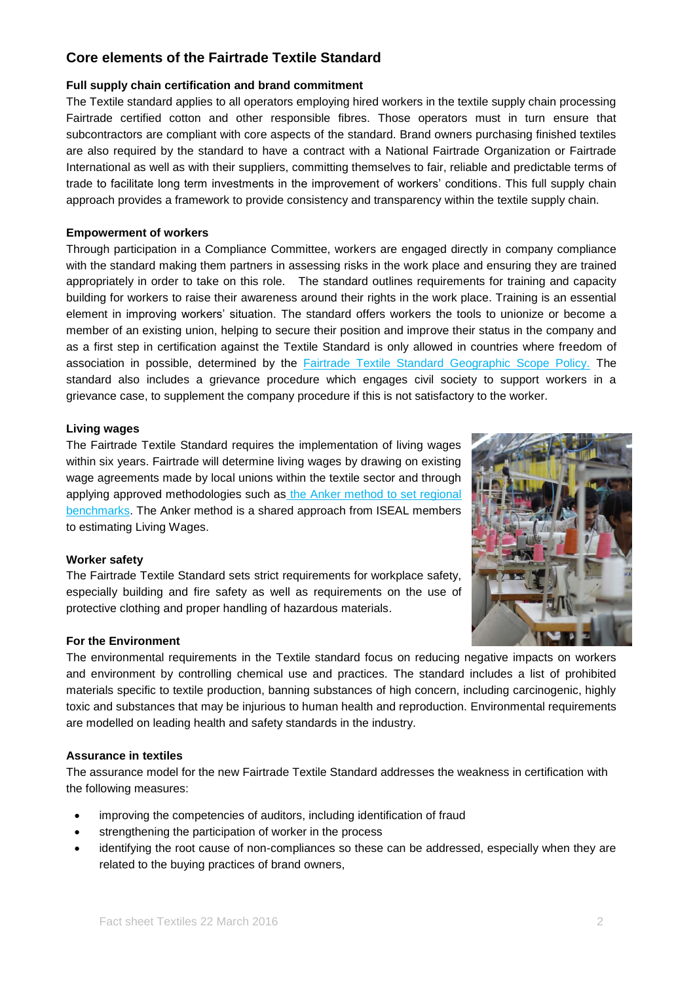# **Core elements of the Fairtrade Textile Standard**

#### **Full supply chain certification and brand commitment**

The Textile standard applies to all operators employing hired workers in the textile supply chain processing Fairtrade certified cotton and other responsible fibres. Those operators must in turn ensure that subcontractors are compliant with core aspects of the standard. Brand owners purchasing finished textiles are also required by the standard to have a contract with a National Fairtrade Organization or Fairtrade International as well as with their suppliers, committing themselves to fair, reliable and predictable terms of trade to facilitate long term investments in the improvement of workers' conditions. This full supply chain approach provides a framework to provide consistency and transparency within the textile supply chain.

#### **Empowerment of workers**

Through participation in a Compliance Committee, workers are engaged directly in company compliance with the standard making them partners in assessing risks in the work place and ensuring they are trained appropriately in order to take on this role. The standard outlines requirements for training and capacity building for workers to raise their awareness around their rights in the work place. Training is an essential element in improving workers' situation. The standard offers workers the tools to unionize or become a member of an existing union, helping to secure their position and improve their status in the company and as a first step in certification against the Textile Standard is only allowed in countries where freedom of association in possible, determined by the [Fairtrade Textile Standard Geographic Scope Policy.](http://www.fairtrade.net/fileadmin/user_upload/content/2009/standards/documents/generic-standards/TextileGeographicalScope.pdf) The standard also includes a grievance procedure which engages civil society to support workers in a grievance case, to supplement the company procedure if this is not satisfactory to the worker.

#### **Living wages**

The Fairtrade Textile Standard requires the implementation of living wages within six years. Fairtrade will determine living wages by drawing on existing wage agreements made by local unions within the textile sector and through applying approved methodologies such as [the Anker method](http://www.fairtrade.net/single-view+M5fc5b408f70.html) to set regional benchmarks. The Anker method is a shared approach from ISEAL members to estimating Living Wages.

#### **Worker safety**

The Fairtrade Textile Standard sets strict requirements for workplace safety, especially building and fire safety as well as requirements on the use of protective clothing and proper handling of hazardous materials.

#### **For the Environment**

The environmental requirements in the Textile standard focus on reducing negative impacts on workers and environment by controlling chemical use and practices. The standard includes a list of prohibited materials specific to textile production, banning substances of high concern, including carcinogenic, highly toxic and substances that may be injurious to human health and reproduction. Environmental requirements are modelled on leading health and safety standards in the industry.

#### **Assurance in textiles**

The assurance model for the new Fairtrade Textile Standard addresses the weakness in certification with the following measures:

- improving the competencies of auditors, including identification of fraud
- strengthening the participation of worker in the process
- identifying the root cause of non-compliances so these can be addressed, especially when they are related to the buying practices of brand owners,